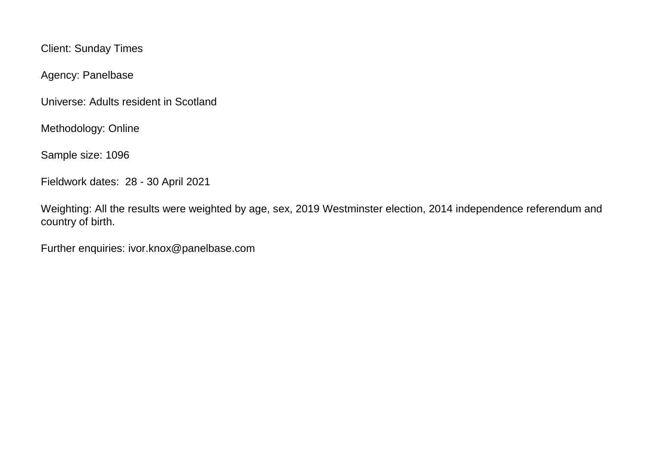Client: Sunday Times

Agency: Panelbase

Universe: Adults resident in Scotland

Methodology: Online

Sample size: 1096

Fieldwork dates: 28 - 30 April 2021

Weighting: All the results were weighted by age, sex, 2019 Westminster election, 2014 independence referendum and country of birth.

Further enquiries: ivor.knox@panelbase.com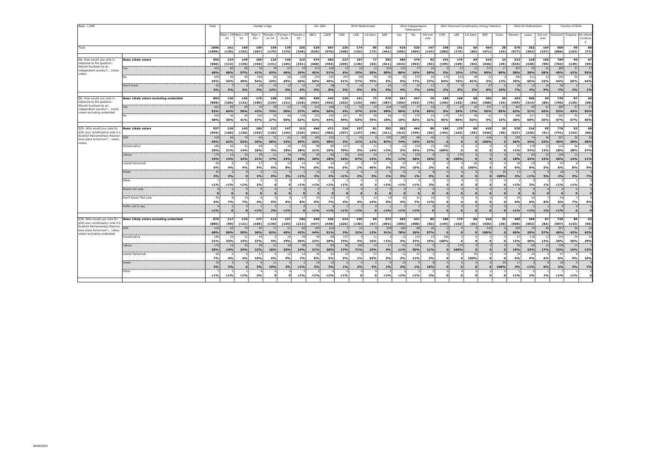| Base: 1,096                                                                                                                                 |                                         | Total               |                           |                       | Gender x Age       |                                                |                    |                    | S4. SEG                  |                                |                 | 2019 Westminster         |                 |                     |                              | 2014 Independence<br>Referendum |                   |                                |                   | 2021 Holyrood Constituency Voting Intention |                      |            |                     | 2016 EU Referendum |                               | Country of Birth    |                                 |                   |  |
|---------------------------------------------------------------------------------------------------------------------------------------------|-----------------------------------------|---------------------|---------------------------|-----------------------|--------------------|------------------------------------------------|--------------------|--------------------|--------------------------|--------------------------------|-----------------|--------------------------|-----------------|---------------------|------------------------------|---------------------------------|-------------------|--------------------------------|-------------------|---------------------------------------------|----------------------|------------|---------------------|--------------------|-------------------------------|---------------------|---------------------------------|-------------------|--|
|                                                                                                                                             |                                         |                     | Male x 16 Male x 35<br>34 | 54                    | $55+$              | Male x Female x Female x Female :<br>$16 - 34$ | 35-54              | 55                 | ABC1                     | C <sub>2</sub> DE              | CON             | LAB                      | Lib Dem         | SNP                 | Yes                          | No                              | Did not<br>vote   | CON                            | LAB               | Lib Dem                                     | SNP                  | Green      | Remain              | Leave              | Did not<br>vote               |                     | Scotland : England : All others | combine<br>d      |  |
| Total                                                                                                                                       |                                         | 1096<br>(1096)      | 161<br>(135)              | 169<br>(152)          | 199<br>(207)       | 159<br>(179)                                   | 178<br>(175)       | 230<br>(246)       | 529<br>(520)             | 567<br>(576)                   | 235<br>(248)    | 174<br>(152)             | 89<br>(72)      | 422<br>(441)        | 424<br>(455)                 | 525<br>(494)                    | 147<br>(147)      | 198<br>(205)                   | 191<br>(173)      | 66<br>(60)                                  | 454<br>(471)         | 28<br>(33) | 579<br>(577)        | 352<br>(362)       | 164<br>(157)                  | 909<br>(866)        | 99<br>(153)                     | 88<br>(77)        |  |
| Q6. How would you vote in<br>response to the question:<br>Should Scotland be an<br>independent country? Likely<br>voters                    | <b>Base: Likely voters</b>              | 956<br>(960)        | 134<br>(112)              | 149<br>(135)          | 185<br>(194)       | 125<br>(141)                                   | 146<br>(145)       | 215<br>(231)       | 473<br>(468)             | 482<br>(492)                   | 227<br>(239)    | 157<br>(136)             | 77<br>(63)      | 392<br>(411)        | 385<br>(415)                 | 479<br>(453)                    | 92<br>(92)        | 191<br>(199)                   | 175<br>(159)      | 59<br>(54)                                  | 419<br>(436)         | 24<br>(29) | 532<br>(533)        | 318<br>(328)       | 105<br>(99)                   | 799<br>(762)        | 90<br>(139)                     | 67<br>(59)        |  |
|                                                                                                                                             | 'es<br>N٥                               | 463<br>48%<br>430   | -80<br>60%                | 85<br>57%<br>60       | 76<br>41%<br>100   | -78<br>63%<br>30                               | 67<br>46%<br>66    | 34%<br>128         | 215<br>45%<br>235        | 248<br>51%<br>195              | 13<br>6%<br>207 | 52<br>33%<br>89          | 15<br>20%<br>58 | 334<br>85%<br>34    | 332<br>86%<br>35             | 77<br>16%<br>370                | 54<br>59%<br>24   | 5%<br>179                      | -33<br>19%<br>134 | 10<br>17%<br>48                             | 371<br>89%<br>-23    | 17<br>69%  | 307<br>58%<br>186   | 95<br>30%<br>211   | 61<br>58%                     | 389<br>49%<br>350   | 37<br>42%<br>50                 | 37<br>55%<br>29   |  |
|                                                                                                                                             | Don't know                              | 45%<br>62<br>6%     | 34%<br>5%                 | 40%<br>3%             | 54%<br>10<br>5%    | 24%<br>15<br>12%                               | 45%<br>13<br>9%    | 60%<br>12<br>6%    | 50%<br>24<br>5%          | 40%<br>38<br>8%                | 91%<br>3%       | 57%<br>14<br>9%          | 75%<br>5%       | 9%<br>23<br>6%      | 9%<br>17<br>4%               | 77%<br>32<br>7%                 | 27%<br>13<br>14%  | 94%<br>2%                      | 76%<br>5%         | 81%<br>2%                                   | 5%<br>27<br>6%       | 12%<br>19% | 35%<br>39<br>7%     | 66%<br>13<br>4%    | 32%<br>10<br>9%               | 44%<br>58<br>7%     | 56%<br>3%                       | 44%<br>1%         |  |
| Q6. How would you vote in                                                                                                                   | Base: Likely voters excluding undecided | 893                 | 126                       | 145                   | 175                | 108                                            | 133                | 202                | 450                      | 443                            | 220             | 141                      | 73              | 370                 | 367                          | 447                             | 79                | 188                            | 168               | 58                                          | 392                  | 20         | 493                 | 306                | 94                            | 739                 | 87                              | 66                |  |
| response to the question<br>Should Scotland be an                                                                                           |                                         | (898)               | (106)                     | (132)                 | (185)              | (124)                                          | (131)              | (218)              | (445)                    | (453)                          | (232)           | (123)                    | (60)            | (387)               | (396)                        | (423)                           | (79)              | (196)                          | (152)             | (53)                                        | (408)                | (24)       | (495)               | (314)              | (89)                          | (705)               | (135)                           | (58)              |  |
| independent country? Likely<br>voters excluding undecided                                                                                   | res                                     | 463<br>52%<br>430   | 80<br>64%<br>-46          | 85<br>59%<br>60       | 76<br>43%<br>100   | 78<br>73%<br>30                                | 67<br>50%<br>66    | 74<br>37%<br>128   | 215<br>48%<br>235        | 248<br>56%<br>195              | 13<br>6%<br>207 | 52<br>37%<br>89          | 15<br>21%<br>58 | 334<br>90%<br>34    | 332<br>90%<br>35             | 77<br>17%<br>370                | 54<br>69%<br>74   | $\circ$<br>5%<br>179           | 33<br>20%<br>134  | 10<br>17%<br>48                             | 371<br>95%<br>-23    | -17<br>85% | 307<br>62%<br>186   | 95<br>31%<br>211   | 61<br>65%<br>33               | 389<br>53%<br>350   | 37<br>43%<br>50                 | 37<br>55%<br>29   |  |
|                                                                                                                                             |                                         | 48%                 | 36%                       | 41%                   | 57%                | 27%                                            | 50%                | 63%                | 52%                      | 44%                            | 94%             | 63%                      | 79%             | 10%                 | 10%                          | 83%                             | 31%               | 95%                            | 80%               | 83%                                         | 5%                   | 15%        | 38%                 | 69%                | 35%                           | 47%                 | 57%                             | 45%               |  |
| Q7b. Who would you vote for<br>with your constituency vote if a<br>Scottish Parliamentary Election<br>took place tomorrow? Likely<br>voters | <b>Base: Likely voters</b>              | 937                 | 126                       | 143                   | 184                | 122                                            | 147                | 212                | 466                      | 471                            | 224             | 157                      | 81              | 392                 | 382                          | 464                             | 90                | 186                            | 179               | 60                                          | 418                  | 25         | 525                 | 316                | 95                            | 776                 | 92                              | 68                |  |
|                                                                                                                                             | MF:                                     | (944)<br>418<br>45% | (106)<br>66<br>52%        | (130)<br>74<br>52%    | (193)<br>65<br>35% | (139)<br>71<br>58%                             | (145)<br>61<br>42% | (229)<br>82<br>39% | (462)<br>195<br>42%      | (482)<br>224<br>48%            | (237)<br>3%     | (137)<br>33<br>21%       | (66)<br>11%     | (411)<br>339<br>87% | (413)<br>285<br>74%          | (439)<br>88<br>19%              | (92)<br>46<br>51% | (194)<br>$\Omega$              | (162)<br>$\Omega$ | (55)<br>$\Omega$                            | (436)<br>418<br>100% | (30)       | (527)<br>295<br>56% | (326)<br>74<br>24% | (91)<br>4 <sup>c</sup><br>52% | (741)<br>357<br>46% | (143)<br>36<br>39%              | (60)<br>26<br>38% |  |
|                                                                                                                                             | Conservative                            | 186<br>20%          | 26<br>21%                 | 21<br>14%             | 49<br>26%          | 4%                                             | 26<br>18%          | 59<br>28%          | 98<br>21%                | 88<br>19%                      | 157<br>70%      | 3%                       | 11<br>14%       | < 1%                | 12<br>3%                     | 159<br>34%                      | 15<br>17%         | 186<br>100%                    |                   |                                             |                      |            | 57<br>11%           | 118<br>37%         | 12%                           | 143<br>18%          | 26<br>28%                       | 18<br>27%         |  |
|                                                                                                                                             | Labour                                  | 179<br>19%          | 16<br>13%                 | 32<br>22%             | 39<br>21%          | 21<br>17%                                      | 34<br>23%          | 38<br>18%          | 93<br>20%                | 85<br>18%                      | 36<br>16%       | 106<br>67%               | 10<br>13%       | 17<br>4%            | 41<br>11%                    | 129<br>28%                      | 10%               | n<br>$\Omega$                  | 179<br>100%       | $\Omega$<br>$\Omega$                        |                      |            | 95<br>18%           | 69<br>22%          | 15<br>15%                     | 158<br>20%          | 13 <sup>1</sup><br>14%          | 11%               |  |
|                                                                                                                                             | Liberal Democrat                        | 60<br>6%            | 4%                        | 4%                    | 17<br>9%           | 5%                                             | 12<br>8%           | 14<br><b>7%</b>    | 36<br>8%                 | $\overline{\phantom{a}}$<br>5% | 10<br>5%        | 1%                       | 37<br>46%       | 2%                  | 12<br>3%                     | 47<br>10%                       | 2%                | n<br>$\Omega$                  |                   | 60<br>100%                                  |                      |            | 30<br>6%            | 25<br>8%           | 5%                            | 47<br>6%            | 8%                              | 9%                |  |
|                                                                                                                                             | Green                                   | 25<br>3%            | 3%                        | $\Omega$              | 2%                 | $11\,$<br>9%                                   | 3%                 | 1%                 | 14<br>3%                 | 12<br>2%                       | $< 1\%$         | 2%                       | 3%              | 1%                  | 12<br>3%                     | 1%                              | 9%                | $\Omega$<br>$\mathbf{0}$       | O                 |                                             |                      | 25<br>100% | 17<br>3%            | $1\%$              | 5%                            | 18<br>2%            | 3%                              | 7%                |  |
|                                                                                                                                             | Other                                   | 14%                 | $1\%$                     | < 1%                  | 2%                 | ı.<br>$\mathbf{o}$                             | n                  | 14%                | $1\%$                    | 1%                             | $< 1\%$         | $\Omega$<br>$\mathbf{o}$ | $\Omega$        | < 1%                | -3<br>$< 1\%$                | $1\%$                           | 2%                | $\Omega$<br>$\mathbf o$        |                   | $\Omega$                                    |                      |            | $1\%$               | 2%                 | 1%                            | $1\%$               | 1%                              | $\Omega$          |  |
|                                                                                                                                             | Would not vote                          |                     | $\bf o$                   | $\Omega$              | $\mathbf{o}$       | $\Omega$<br>$\mathbf 0$                        | $\Omega$           |                    | $\Omega$<br>$\mathbf{0}$ |                                | $\mathbf{o}$    | $\Omega$<br>$\mathbf{o}$ |                 |                     | $\mathbf{0}$<br>$\mathbf{o}$ | $\Omega$                        |                   | $\overline{0}$<br>$\mathbf{o}$ | $\mathbf{c}$      | $\Omega$<br>$\Omega$                        |                      |            | $\mathbf{o}$        | $\mathbf{o}$       |                               | $\Omega$            | $\Omega$<br>$\mathbf{o}$        |                   |  |
|                                                                                                                                             | Don't Know/ Not sure                    | 56<br>6%            | 7%                        | 10<br>7%              | 6<br>4%            | 5%                                             | 6%                 | $\mathbf{1}$<br>8% | 25<br>5%                 | 31<br>7%                       | 4%              | 4%                       | 12<br>14%       | 1S<br>5%            | 16<br>4%                     | 31<br>7%                        | 10<br>11%         | $\Omega$<br>$\mathbf{o}$       |                   | n                                           |                      |            | 29<br>6%            | 20<br>6%           | 8%                            | 44<br>6%            | 7%                              | 9%                |  |
|                                                                                                                                             | Prefer not to say                       | 19/                 | n                         | $\Omega$              | $< 1\%$            | 2%                                             | 1%                 |                    | $1\%$                    | < 1%                           | $< 1\%$         | $< 1\%$                  | $\Omega$        | 19/                 | $< 1\%$                      | $1\%$                           |                   | $\Omega$<br>$\sqrt{2}$         |                   | $\Omega$                                    |                      |            | $1\%$               | $< 1\%$            | 1%                            | 1%                  | $\sqrt{2}$                      | $\Omega$          |  |
| Q7b. Who would you vote for<br>with your constituency vote if a                                                                             | Base: Likely voters excluding undecided | 876<br>(885)        | 117<br>(99)               | 133<br>(121)          | 177<br>(185)       | 114<br>(130)                                   | 137<br>(135)       | 196<br>(213)       | 440<br>(437)             | 436<br>(448)                   | 214<br>(226)    | 149<br>(130)             | 69<br>(57)      | 372<br>(392)        | 365<br>(395)                 | 431<br>(408)                    | 80<br>(82)        | 186<br>(194)                   | 179<br>(162)      | 60<br>(55)                                  | 418<br>(436)         | 25<br>(30) | 495<br>(500)        | 294<br>(302)       | 87<br>(83)                    | 729<br>(697)        | 86<br>(133)                     | 62<br>(55)        |  |
| Scottish Parliamentary Election<br>took place tomorrow? Likely                                                                              | SNP                                     | 418<br>48%          | 66<br>56%                 | 74<br>55%             | 65<br>36%          | 71<br>62%                                      | 61<br>45%          | 82<br>42%          | 195<br>44%               | 224<br>51%                     | 3%              | 33<br>22%                | 12%             | 339<br>91%          | 285<br>78%                   | 88<br>20%                       | 46<br>57%         | $\Omega$                       | $\mathbf{c}$      | $\Omega$                                    | 418<br>100%          |            | 295<br>60%          | 74<br>25%          | 49<br>57%                     | 357<br>49%          | 36<br>42%                       | 26<br>42%         |  |
| voters excluding undecided                                                                                                                  | Conservative                            | 186<br>21%          | 26<br>23%                 | $\overline{z}$<br>15% | 49<br>27%          | 5%                                             | 26<br>19%          | 59<br>30%          | 98<br>22%                | 20%                            | 157<br>73%      | 3%                       | 11<br>16%       | < 1%                | 12<br>3%                     | 159<br>37%                      | 15<br>19%         | 186<br>100%                    |                   |                                             |                      |            | 57<br>12%           | 118<br>40%         | 13%                           | 143<br>20%          | 26<br>30%                       | 18<br>29%         |  |
|                                                                                                                                             | Labour                                  | 179<br>20%          | 16<br>14%                 | 32<br>24%             | 39<br>22%          | 21<br>18%                                      | 34<br>25%          | 38<br>19%          | 93<br>21%                | 85<br>20%                      | 36<br>17%       | 106<br>71%               | 10<br>15%       | 17<br>4%            | 41<br>11%                    | 129<br>30%                      | 11%               | $\Omega$                       | 179<br>100%       | $\Omega$                                    |                      |            | 95<br>19%           | 69<br>23%          | 15<br>17%                     | 158<br>22%          | 13 <sup>1</sup><br>15%          | 12%               |  |
|                                                                                                                                             | Liberal Democrat                        | 60<br>7%            | 4%                        | 4%                    | 17<br>10%          | 5%                                             | 12<br>9%           | 14<br><b>7%</b>    | 36<br>8%                 | 5%                             | 10<br>5%        | 1%                       | 37<br>53%       | 2%                  | 12<br>3%                     | 47<br>11%                       | 2%                | $\Omega$<br>$\Omega$           |                   | 60<br>100%                                  |                      |            | 30<br>6%            | 25<br>9%           | 6%                            | 47<br>6%            | 9%                              | 10%               |  |
|                                                                                                                                             | Green                                   | 2!<br>3%            | 3%                        | $\Omega$              | 2%                 | 10%                                            | 3%                 | 1%                 | 14<br>3%                 | 3%                             | $1\%$           | 2%                       | 4%              | 1%                  | 12<br>3%                     | 1%                              | 10%               | $\mathbf{0}$<br>$\mathbf{0}$   |                   |                                             |                      | 25<br>100% | 17<br>4%            | < 1%               | 6%                            | 18<br>2%            | 3%                              | 7%                |  |
|                                                                                                                                             | Other                                   | < 1%                | $1\%$                     | $1\%$                 | 2%                 | $\mathbf{o}$                                   | $\Omega$           | $1\%$              | $1\%$                    | < 1%                           | $< 1\%$         | $\Omega$<br>$\Omega$     | $\Omega$        | $< 1\%$             | < 1%                         | < 1%                            | 2%                | $\Omega$<br>$\mathbf{o}$       |                   | n                                           |                      |            | < 1%                | 2%                 | 1%                            | $1\%$               | < 1%                            |                   |  |
|                                                                                                                                             |                                         |                     |                           |                       |                    |                                                |                    |                    |                          |                                |                 |                          |                 |                     |                              |                                 |                   |                                |                   |                                             |                      |            |                     |                    |                               |                     |                                 |                   |  |